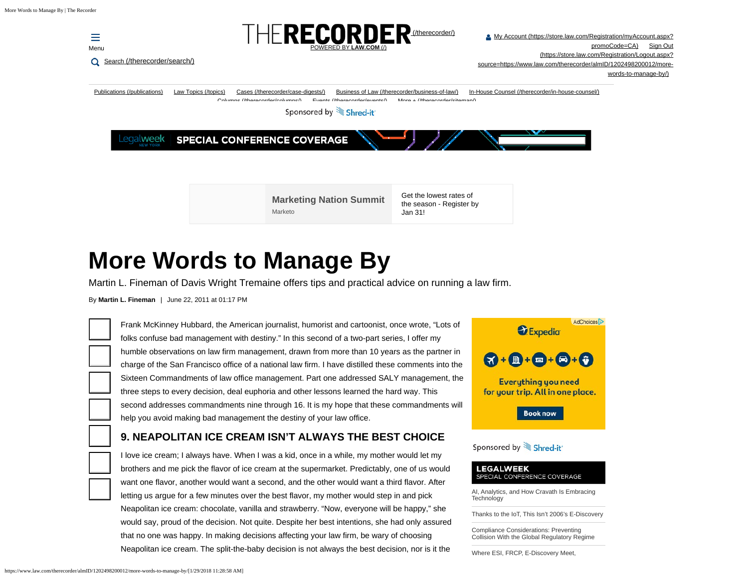

# **More Words to Manage By**

Martin L. Fineman of Davis Wright Tremaine offers tips and practical advice on running a law firm.

By **Martin L. Fineman** | June 22, 2011 at 01:17 PM

(h

Frank McKinney Hubbard, the American journalist, humorist and cartoonist, once wrote, "Lots of folks confuse bad management with destiny." In this second of a two-part series, I offer my humble observations on law firm management, drawn from more than 10 years as the partner in charge of the San Francisco office of a national law firm. I have distilled these comments into the Sixteen Commandments of law office management. Part one addressed SALY management, the three steps to every decision, deal euphoria and other lessons learned the hard way. This second addresses commandments nine through 16. It is my hope that these commandments will help you avoid making bad management the destiny of your law office.

# **9. NEAPOLITAN ICE CREAM ISN'T ALWAYS THE BEST CHOICE**

I love ice cream; I always have. When I was a kid, once in a while, my mother would let my brothers and me pick the flavor of ice cream at the supermarket. Predictably, one of us would want one flavor, another would want a second, and the other would want a third flavor. After letting us argue for a few minutes over the best flavor, my mother would step in and pick Neapolitan ice cream: chocolate, vanilla and strawberry. "Now, everyone will be happy," she would say, proud of the decision. Not quite. Despite her best intentions, she had only assured that no one was happy. In making decisions affecting your law firm, be wary of choosing Neapolitan ice cream. The split-the-baby decision is not always the best decision, nor is it the



#### Sponsored by Shred-it

#### **LEGALWEEK** SPECIAL CONFERENCE COVERAGE

[AI, Analytics, and How Cravath Is Embracing](https://www.law.com/sites/almstaff/2018/01/24/ai-analytics-and-how-cravath-is-embracing-technology/) **[Technology](https://www.law.com/sites/almstaff/2018/01/24/ai-analytics-and-how-cravath-is-embracing-technology/)** 

[Thanks to the IoT, This Isn't 2006's E-Discovery](https://www.law.com/legaltechnews/sites/legaltechnews/2018/01/18/thanks-to-the-iot-this-isnt-2006s-e-discovery/)

[Compliance Considerations: Preventing](https://www.law.com/legaltechnews/sites/legaltechnews/2018/01/12/compliance-considerations-preventing-collusion-with-the-global-regulatory-regime/) [Collision With the Global Regulatory Regime](https://www.law.com/legaltechnews/sites/legaltechnews/2018/01/12/compliance-considerations-preventing-collusion-with-the-global-regulatory-regime/)

[Where ESI, FRCP, E-Discovery Meet,](https://www.law.com/legaltechnews/sites/legaltechnews/2018/01/08/where-esi-frcp-and-e-discovery-meet-uncertainty-abound/)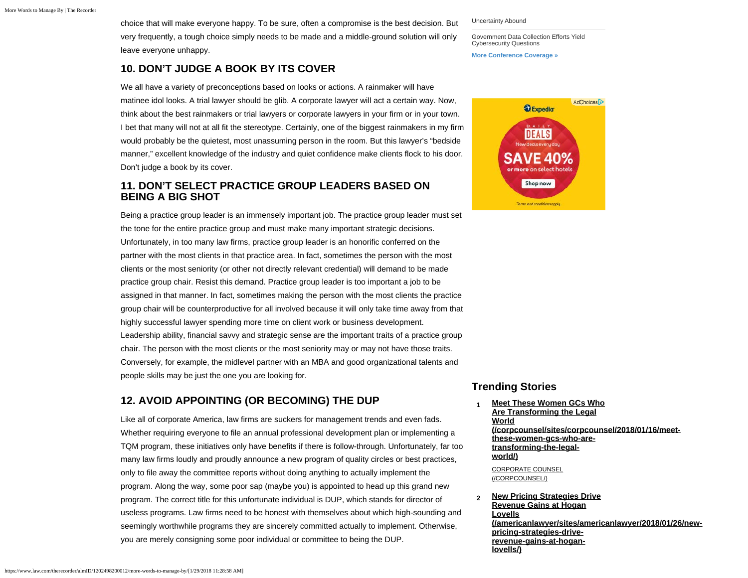choice that will make everyone happy. To be sure, often a compromise is the best decision. But very frequently, a tough choice simply needs to be made and a middle-ground solution will only leave everyone unhappy.

### **10. DON'T JUDGE A BOOK BY ITS COVER**

We all have a variety of preconceptions based on looks or actions. A rainmaker will have matinee idol looks. A trial lawyer should be glib. A corporate lawyer will act a certain way. Now, think about the best rainmakers or trial lawyers or corporate lawyers in your firm or in your town. I bet that many will not at all fit the stereotype. Certainly, one of the biggest rainmakers in my firm would probably be the quietest, most unassuming person in the room. But this lawyer's "bedside manner," excellent knowledge of the industry and quiet confidence make clients flock to his door. Don't judge a book by its cover.

#### **11. DON'T SELECT PRACTICE GROUP LEADERS BASED ON BEING A BIG SHOT**

Being a practice group leader is an immensely important job. The practice group leader must set the tone for the entire practice group and must make many important strategic decisions. Unfortunately, in too many law firms, practice group leader is an honorific conferred on the partner with the most clients in that practice area. In fact, sometimes the person with the most clients or the most seniority (or other not directly relevant credential) will demand to be made practice group chair. Resist this demand. Practice group leader is too important a job to be assigned in that manner. In fact, sometimes making the person with the most clients the practice group chair will be counterproductive for all involved because it will only take time away from that highly successful lawyer spending more time on client work or business development. Leadership ability, financial savvy and strategic sense are the important traits of a practice group chair. The person with the most clients or the most seniority may or may not have those traits. Conversely, for example, the midlevel partner with an MBA and good organizational talents and people skills may be just the one you are looking for.

# **12. AVOID APPOINTING (OR BECOMING) THE DUP**

Like all of corporate America, law firms are suckers for management trends and even fads. Whether requiring everyone to file an annual professional development plan or implementing a TQM program, these initiatives only have benefits if there is follow-through. Unfortunately, far too many law firms loudly and proudly announce a new program of quality circles or best practices, only to file away the committee reports without doing anything to actually implement the program. Along the way, some poor sap (maybe you) is appointed to head up this grand new program. The correct title for this unfortunate individual is DUP, which stands for director of useless programs. Law firms need to be honest with themselves about which high-sounding and seemingly worthwhile programs they are sincerely committed actually to implement. Otherwise, you are merely consigning some poor individual or committee to being the DUP.

[Uncertainty Abound](https://www.law.com/legaltechnews/sites/legaltechnews/2018/01/08/where-esi-frcp-and-e-discovery-meet-uncertainty-abound/)

[Government Data Collection Efforts Yield](https://www.law.com/legaltechnews/sites/legaltechnews/2018/01/16/government-data-collection-efforts-yield-cybersecurity-questions/) [Cybersecurity Questions](https://www.law.com/legaltechnews/sites/legaltechnews/2018/01/16/government-data-collection-efforts-yield-cybersecurity-questions/)

**[More Conference Coverage »](https://www.law.com/sponsored-content/legalweek-new-york-2018/)**



#### **Trending Stories**

- **1 [Meet These Women GCs Who](https://www.law.com/corpcounsel/sites/corpcounsel/2018/01/16/meet-these-women-gcs-who-are-transforming-the-legal-world/) [Are Transforming the Legal](https://www.law.com/corpcounsel/sites/corpcounsel/2018/01/16/meet-these-women-gcs-who-are-transforming-the-legal-world/) [World](https://www.law.com/corpcounsel/sites/corpcounsel/2018/01/16/meet-these-women-gcs-who-are-transforming-the-legal-world/) (/corpcounsel/sites/corpcounsel/2018/01/16/meetthese-women-gcs-who-aretransforming-the-legalworld/)** [CORPORATE COUNSEL](https://www.law.com/corpcounsel/) (/CORPCOUNSEL/)
- **2 [New Pricing Strategies Drive](https://www.law.com/americanlawyer/sites/americanlawyer/2018/01/26/new-pricing-strategies-drive-revenue-gains-at-hogan-lovells/) [Revenue Gains at Hogan](https://www.law.com/americanlawyer/sites/americanlawyer/2018/01/26/new-pricing-strategies-drive-revenue-gains-at-hogan-lovells/) [Lovells](https://www.law.com/americanlawyer/sites/americanlawyer/2018/01/26/new-pricing-strategies-drive-revenue-gains-at-hogan-lovells/) (/americanlawyer/sites/americanlawyer/2018/01/26/newpricing-strategies-driverevenue-gains-at-hoganlovells/)**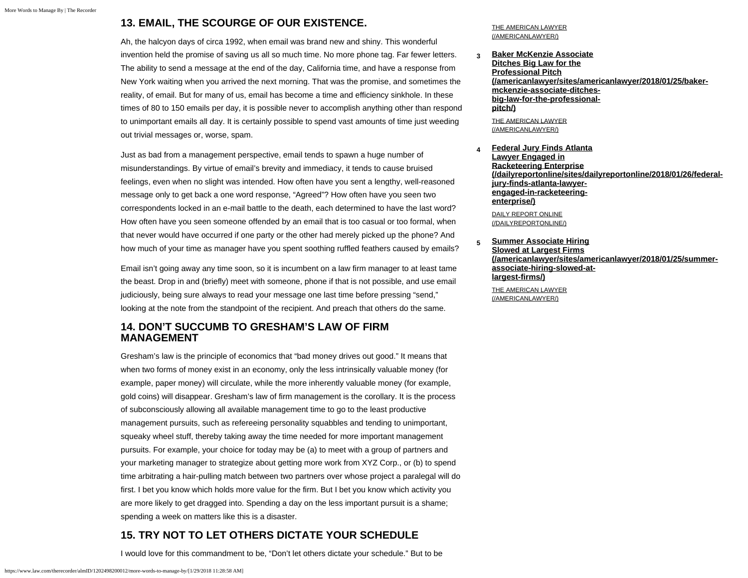## **13. EMAIL, THE SCOURGE OF OUR EXISTENCE.**

Ah, the halcyon days of circa 1992, when email was brand new and shiny. This wonderful invention held the promise of saving us all so much time. No more phone tag. Far fewer letters. The ability to send a message at the end of the day, California time, and have a response from New York waiting when you arrived the next morning. That was the promise, and sometimes the reality, of email. But for many of us, email has become a time and efficiency sinkhole. In these times of 80 to 150 emails per day, it is possible never to accomplish anything other than respond to unimportant emails all day. It is certainly possible to spend vast amounts of time just weeding out trivial messages or, worse, spam.

Just as bad from a management perspective, email tends to spawn a huge number of misunderstandings. By virtue of email's brevity and immediacy, it tends to cause bruised feelings, even when no slight was intended. How often have you sent a lengthy, well-reasoned message only to get back a one word response, "Agreed"? How often have you seen two correspondents locked in an e-mail battle to the death, each determined to have the last word? How often have you seen someone offended by an email that is too casual or too formal, when that never would have occurred if one party or the other had merely picked up the phone? And how much of your time as manager have you spent soothing ruffled feathers caused by emails?

Email isn't going away any time soon, so it is incumbent on a law firm manager to at least tame the beast. Drop in and (briefly) meet with someone, phone if that is not possible, and use email judiciously, being sure always to read your message one last time before pressing "send," looking at the note from the standpoint of the recipient. And preach that others do the same.

#### **14. DON'T SUCCUMB TO GRESHAM'S LAW OF FIRM MANAGEMENT**

Gresham's law is the principle of economics that "bad money drives out good." It means that when two forms of money exist in an economy, only the less intrinsically valuable money (for example, paper money) will circulate, while the more inherently valuable money (for example, gold coins) will disappear. Gresham's law of firm management is the corollary. It is the process of subconsciously allowing all available management time to go to the least productive management pursuits, such as refereeing personality squabbles and tending to unimportant, squeaky wheel stuff, thereby taking away the time needed for more important management pursuits. For example, your choice for today may be (a) to meet with a group of partners and your marketing manager to strategize about getting more work from XYZ Corp., or (b) to spend time arbitrating a hair-pulling match between two partners over whose project a paralegal will do first. I bet you know which holds more value for the firm. But I bet you know which activity you are more likely to get dragged into. Spending a day on the less important pursuit is a shame; spending a week on matters like this is a disaster.

# **15. TRY NOT TO LET OTHERS DICTATE YOUR SCHEDULE**

I would love for this commandment to be, "Don't let others dictate your schedule." But to be

[THE AMERICAN LAWYER](https://www.law.com/americanlawyer/) (/AMERICANLAWYER/)

**3 [Baker McKenzie Associate](https://www.law.com/americanlawyer/sites/americanlawyer/2018/01/25/baker-mckenzie-associate-ditches-big-law-for-the-professional-pitch/) [Ditches Big Law for the](https://www.law.com/americanlawyer/sites/americanlawyer/2018/01/25/baker-mckenzie-associate-ditches-big-law-for-the-professional-pitch/) [Professional Pitch](https://www.law.com/americanlawyer/sites/americanlawyer/2018/01/25/baker-mckenzie-associate-ditches-big-law-for-the-professional-pitch/) (/americanlawyer/sites/americanlawyer/2018/01/25/bakermckenzie-associate-ditchesbig-law-for-the-professionalpitch/)**

[THE AMERICAN LAWYER](https://www.law.com/americanlawyer/) (/AMERICANLAWYER/)

**4 [Federal Jury Finds Atlanta](https://www.law.com/dailyreportonline/sites/dailyreportonline/2018/01/26/federal-jury-finds-atlanta-lawyer-engaged-in-racketeering-enterprise/) [Lawyer Engaged in](https://www.law.com/dailyreportonline/sites/dailyreportonline/2018/01/26/federal-jury-finds-atlanta-lawyer-engaged-in-racketeering-enterprise/) [Racketeering Enterprise](https://www.law.com/dailyreportonline/sites/dailyreportonline/2018/01/26/federal-jury-finds-atlanta-lawyer-engaged-in-racketeering-enterprise/) (/dailyreportonline/sites/dailyreportonline/2018/01/26/federaljury-finds-atlanta-lawyerengaged-in-racketeeringenterprise/)**

[DAILY REPORT ONLINE](https://www.law.com/dailyreportonline/) (/DAILYREPORTONLINE/)

**5 [Summer Associate Hiring](https://www.law.com/americanlawyer/sites/americanlawyer/2018/01/25/summer-associate-hiring-slowed-at-largest-firms/) [Slowed at Largest Firms](https://www.law.com/americanlawyer/sites/americanlawyer/2018/01/25/summer-associate-hiring-slowed-at-largest-firms/) (/americanlawyer/sites/americanlawyer/2018/01/25/summerassociate-hiring-slowed-atlargest-firms/)**

[THE AMERICAN LAWYER](https://www.law.com/americanlawyer/) (/AMERICANLAWYER/)